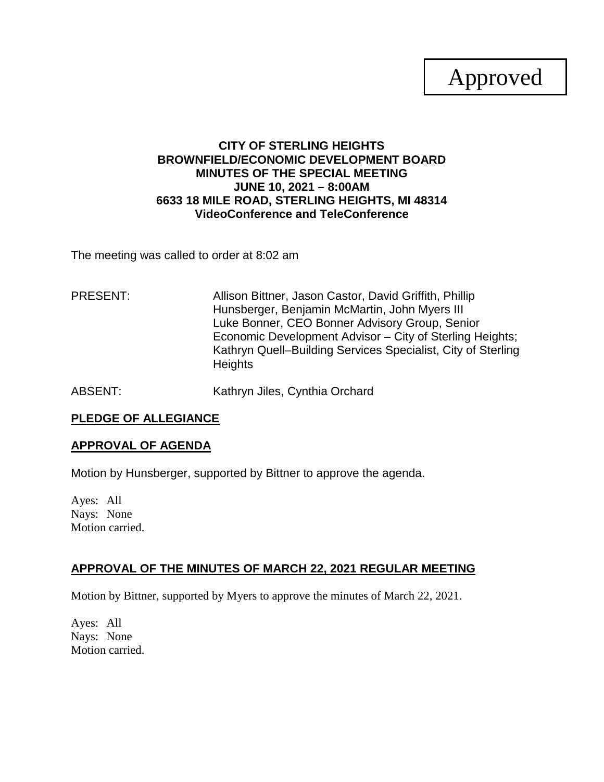# Approved

## **CITY OF STERLING HEIGHTS BROWNFIELD/ECONOMIC DEVELOPMENT BOARD MINUTES OF THE SPECIAL MEETING JUNE 10, 2021 – 8:00AM 6633 18 MILE ROAD, STERLING HEIGHTS, MI 48314 VideoConference and TeleConference**

The meeting was called to order at 8:02 am

PRESENT: Allison Bittner, Jason Castor, David Griffith, Phillip Hunsberger, Benjamin McMartin, John Myers III Luke Bonner, CEO Bonner Advisory Group, Senior Economic Development Advisor – City of Sterling Heights; Kathryn Quell–Building Services Specialist, City of Sterling **Heights** 

ABSENT: Kathryn Jiles, Cynthia Orchard

## **PLEDGE OF ALLEGIANCE**

#### **APPROVAL OF AGENDA**

Motion by Hunsberger, supported by Bittner to approve the agenda.

Ayes: All Nays: None Motion carried.

## **APPROVAL OF THE MINUTES OF MARCH 22, 2021 REGULAR MEETING**

Motion by Bittner, supported by Myers to approve the minutes of March 22, 2021.

Ayes: All Nays: None Motion carried.